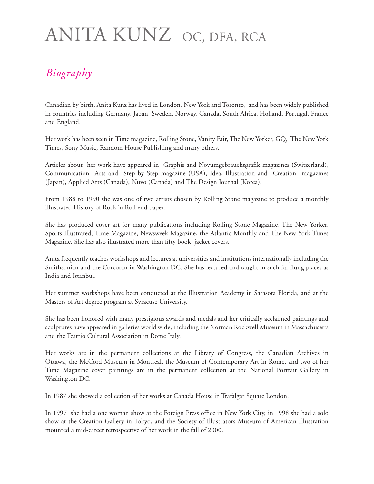## ANITA KUNZ OC, DFA, RCA

## *Biography*

Canadian by birth, Anita Kunz has lived in London, New York and Toronto, and has been widely published in countries including Germany, Japan, Sweden, Norway, Canada, South Africa, Holland, Portugal, France and England.

Her work has been seen in Time magazine, Rolling Stone, Vanity Fair, The New Yorker, GQ, The New York Times, Sony Music, Random House Publishing and many others.

Articles about her work have appeared in Graphis and Novumgebrauchsgrafik magazines (Switzerland), Communication Arts and Step by Step magazine (USA), Idea, Illustration and Creation magazines (Japan), Applied Arts (Canada), Nuvo (Canada) and The Design Journal (Korea).

From 1988 to 1990 she was one of two artists chosen by Rolling Stone magazine to produce a monthly illustrated History of Rock 'n Roll end paper.

She has produced cover art for many publications including Rolling Stone Magazine, The New Yorker, Sports Illustrated, Time Magazine, Newsweek Magazine, the Atlantic Monthly and The New York Times Magazine. She has also illustrated more than fifty book jacket covers.

Anita frequently teaches workshops and lectures at universities and institutions internationally including the Smithsonian and the Corcoran in Washington DC. She has lectured and taught in such far flung places as India and Istanbul.

Her summer workshops have been conducted at the Illustration Academy in Sarasota Florida, and at the Masters of Art degree program at Syracuse University.

She has been honored with many prestigious awards and medals and her critically acclaimed paintings and sculptures have appeared in galleries world wide, including the Norman Rockwell Museum in Massachusetts and the Teatrio Cultural Association in Rome Italy.

Her works are in the permanent collections at the Library of Congress, the Canadian Archives in Ottawa, the McCord Museum in Montreal, the Museum of Contemporary Art in Rome, and two of her Time Magazine cover paintings are in the permanent collection at the National Portrait Gallery in Washington DC.

In 1987 she showed a collection of her works at Canada House in Trafalgar Square London.

In 1997 she had a one woman show at the Foreign Press office in New York City, in 1998 she had a solo show at the Creation Gallery in Tokyo, and the Society of Illustrators Museum of American Illustration mounted a mid-career retrospective of her work in the fall of 2000.